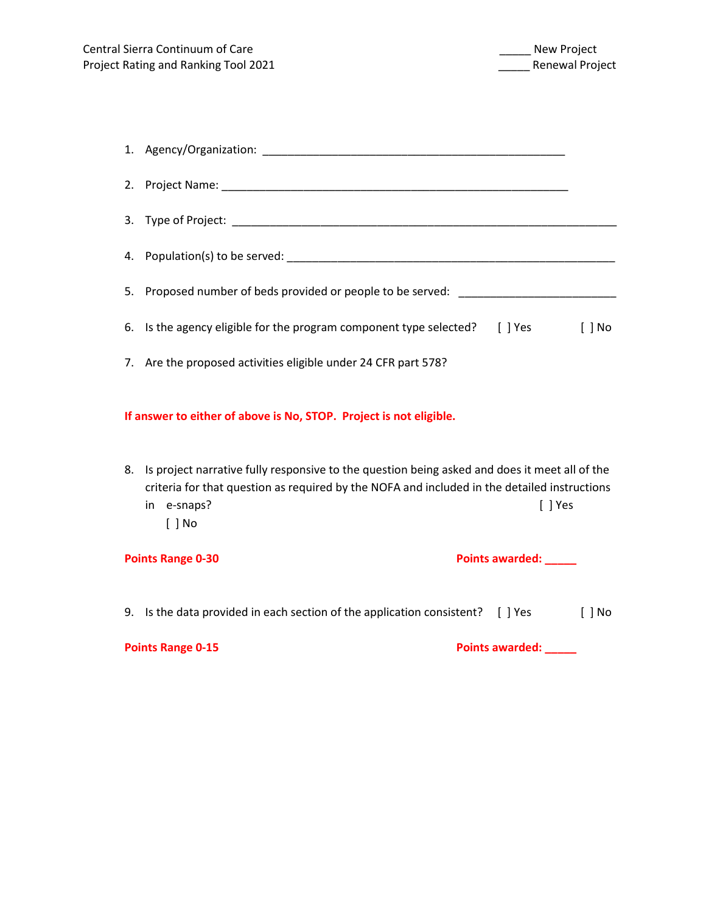| 2.                                                                                                                                                                                                                                        |                                                                                                        |  |  |  |
|-------------------------------------------------------------------------------------------------------------------------------------------------------------------------------------------------------------------------------------------|--------------------------------------------------------------------------------------------------------|--|--|--|
| 3.                                                                                                                                                                                                                                        |                                                                                                        |  |  |  |
| 4.                                                                                                                                                                                                                                        |                                                                                                        |  |  |  |
| 5.                                                                                                                                                                                                                                        | Proposed number of beds provided or people to be served: _______________________                       |  |  |  |
| 6.                                                                                                                                                                                                                                        | Is the agency eligible for the program component type selected? [ ] Yes<br>$[$ $]$ No                  |  |  |  |
|                                                                                                                                                                                                                                           | 7. Are the proposed activities eligible under 24 CFR part 578?                                         |  |  |  |
| If answer to either of above is No, STOP. Project is not eligible.                                                                                                                                                                        |                                                                                                        |  |  |  |
| Is project narrative fully responsive to the question being asked and does it meet all of the<br>8.<br>criteria for that question as required by the NOFA and included in the detailed instructions<br>in e-snaps?<br>[ ] Yes<br>$[ ]$ No |                                                                                                        |  |  |  |
| <b>Points Range 0-30</b><br>Points awarded: _____                                                                                                                                                                                         |                                                                                                        |  |  |  |
|                                                                                                                                                                                                                                           | 9. Is the data provided in each section of the application consistent? [ ] Yes<br>$\lceil$ $\rceil$ No |  |  |  |
| <b>Points Range 0-15</b><br>Points awarded: _____                                                                                                                                                                                         |                                                                                                        |  |  |  |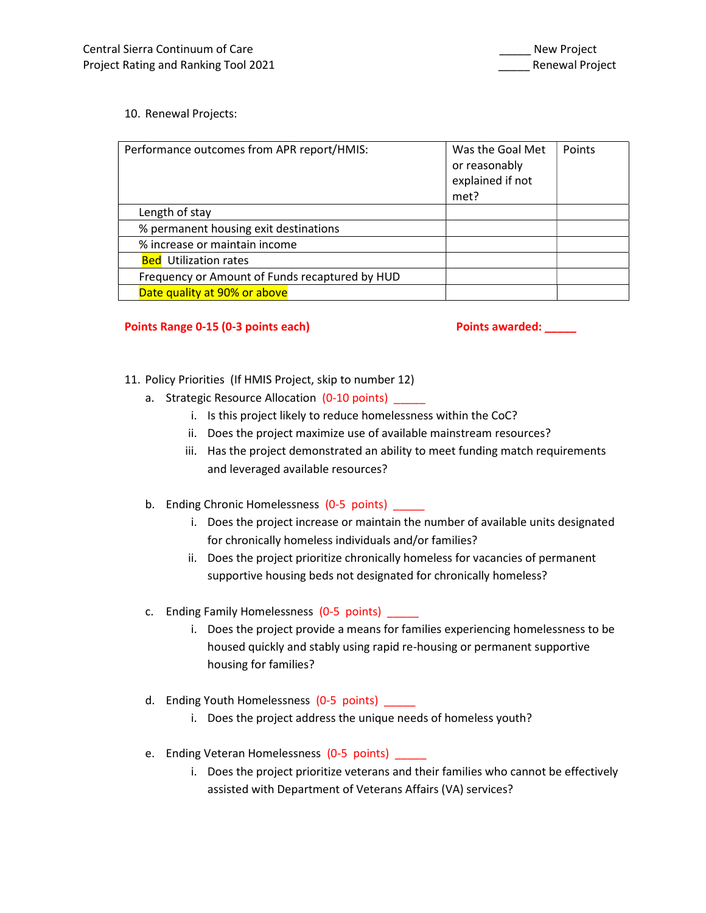## 10. Renewal Projects:

| Performance outcomes from APR report/HMIS:     | Was the Goal Met<br>or reasonably<br>explained if not<br>met? | Points |
|------------------------------------------------|---------------------------------------------------------------|--------|
| Length of stay                                 |                                                               |        |
| % permanent housing exit destinations          |                                                               |        |
| % increase or maintain income                  |                                                               |        |
| <b>Bed</b> Utilization rates                   |                                                               |        |
| Frequency or Amount of Funds recaptured by HUD |                                                               |        |
| Date quality at 90% or above                   |                                                               |        |

## Points Range 0-15 (0-3 points each) each each points awarded:

- 11. Policy Priorities (If HMIS Project, skip to number 12)
	- a. Strategic Resource Allocation (0-10 points) \_\_\_\_\_
		- i. Is this project likely to reduce homelessness within the CoC?
		- ii. Does the project maximize use of available mainstream resources?
		- iii. Has the project demonstrated an ability to meet funding match requirements and leveraged available resources?
	- b. Ending Chronic Homelessness (0-5 points)
		- i. Does the project increase or maintain the number of available units designated for chronically homeless individuals and/or families?
		- ii. Does the project prioritize chronically homeless for vacancies of permanent supportive housing beds not designated for chronically homeless?
	- c. Ending Family Homelessness (0-5 points)
		- i. Does the project provide a means for families experiencing homelessness to be housed quickly and stably using rapid re-housing or permanent supportive housing for families?
	- d. Ending Youth Homelessness (0-5 points) \_\_\_\_\_
		- i. Does the project address the unique needs of homeless youth?
	- e. Ending Veteran Homelessness (0-5 points) \_\_\_\_\_
		- i. Does the project prioritize veterans and their families who cannot be effectively assisted with Department of Veterans Affairs (VA) services?